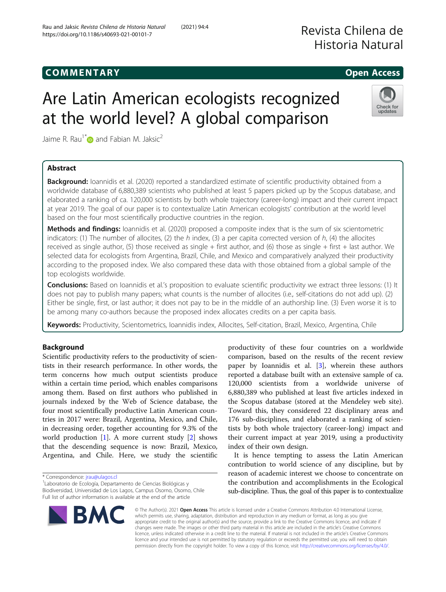# Are Latin American ecologists recognized at the world level? A global comparison

Jaime R. Rau<sup>1[\\*](http://orcid.org/0000-0003-0444-578X)</sup> and Fabian M. Jaksic<sup>2</sup>

# Abstract

Background: Ioannidis et al. (2020) reported a standardized estimate of scientific productivity obtained from a worldwide database of 6,880,389 scientists who published at least 5 papers picked up by the Scopus database, and elaborated a ranking of ca. 120,000 scientists by both whole trajectory (career-long) impact and their current impact at year 2019. The goal of our paper is to contextualize Latin American ecologists' contribution at the world level based on the four most scientifically productive countries in the region.

Methods and findings: Ioannidis et al. (2020) proposed a composite index that is the sum of six scientometric indicators: (1) The number of allocites, (2) the h index, (3) a per capita corrected version of h, (4) the allocites received as single author, (5) those received as single + first author, and (6) those as single + first + last author. We selected data for ecologists from Argentina, Brazil, Chile, and Mexico and comparatively analyzed their productivity according to the proposed index. We also compared these data with those obtained from a global sample of the top ecologists worldwide.

Conclusions: Based on Ioannidis et al.'s proposition to evaluate scientific productivity we extract three lessons: (1) It does not pay to publish many papers; what counts is the number of allocites (i.e., self-citations do not add up). (2) Either be single, first, or last author; it does not pay to be in the middle of an authorship line. (3) Even worse it is to be among many co-authors because the proposed index allocates credits on a per capita basis.

Keywords: Productivity, Scientometrics, Ioannidis index, Allocites, Self-citation, Brazil, Mexico, Argentina, Chile

# Background

Scientific productivity refers to the productivity of scientists in their research performance. In other words, the term concerns how much output scientists produce within a certain time period, which enables comparisons among them. Based on first authors who published in journals indexed by the Web of Science database, the four most scientifically productive Latin American countries in 2017 were: Brazil, Argentina, Mexico, and Chile, in decreasing order, together accounting for 9.3% of the world production  $[1]$  $[1]$ . A more current study  $[2]$  $[2]$  shows that the descending sequence is now: Brazil, Mexico, Argentina, and Chile. Here, we study the scientific

\* Correspondence: [jrau@ulagos.cl](mailto:jrau@ulagos.cl) <sup>1</sup>

BMC

Laboratorio de Ecología, Departamento de Ciencias Biológicas y Biodiversidad, Universidad de Los Lagos, Campus Osorno, Osorno, Chile Full list of author information is available at the end of the article

productivity of these four countries on a worldwide comparison, based on the results of the recent review paper by Ioannidis et al. [\[3](#page-7-0)], wherein these authors reported a database built with an extensive sample of ca. 120,000 scientists from a worldwide universe of 6,880,389 who published at least five articles indexed in the Scopus database (stored at the Mendeley web site). Toward this, they considered 22 disciplinary areas and 176 sub-disciplines, and elaborated a ranking of scientists by both whole trajectory (career-long) impact and their current impact at year 2019, using a productivity index of their own design.

It is hence tempting to assess the Latin American contribution to world science of any discipline, but by reason of academic interest we choose to concentrate on the contribution and accomplishments in the Ecological sub-discipline. Thus, the goal of this paper is to contextualize

© The Author(s). 2021 Open Access This article is licensed under a Creative Commons Attribution 4.0 International License, which permits use, sharing, adaptation, distribution and reproduction in any medium or format, as long as you give appropriate credit to the original author(s) and the source, provide a link to the Creative Commons licence, and indicate if changes were made. The images or other third party material in this article are included in the article's Creative Commons licence, unless indicated otherwise in a credit line to the material. If material is not included in the article's Creative Commons licence and your intended use is not permitted by statutory regulation or exceeds the permitted use, you will need to obtain permission directly from the copyright holder. To view a copy of this licence, visit [http://creativecommons.org/licenses/by/4.0/.](http://creativecommons.org/licenses/by/4.0/)







COMM EN TARY Open Access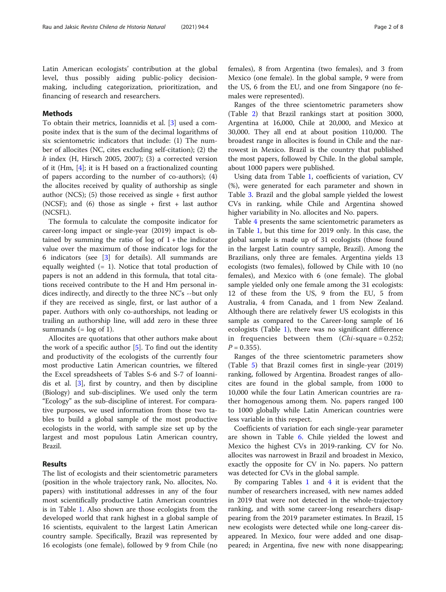Latin American ecologists' contribution at the global level, thus possibly aiding public-policy decisionmaking, including categorization, prioritization, and financing of research and researchers.

# Methods

To obtain their metrics, Ioannidis et al. [[3](#page-7-0)] used a composite index that is the sum of the decimal logarithms of six scientometric indicators that include: (1) The number of allocites (NC, cites excluding self-citation); (2) the  $h$  index (H, Hirsch 2005, 2007); (3) a corrected version of it (Hm, [[4\]](#page-7-0); it is H based on a fractionalized counting of papers according to the number of co-authors); (4) the allocites received by quality of authorship as single author (NCS); (5) those received as single  $+$  first author (NCSF); and (6) those as single + first + last author (NCSFL).

The formula to calculate the composite indicator for career-long impact or single-year (2019) impact is obtained by summing the ratio of  $log$  of  $1 + the$  indicator value over the maximum of those indicator logs for the 6 indicators (see [\[3](#page-7-0)] for details). All summands are equally weighted  $(= 1)$ . Notice that total production of papers is not an addend in this formula, that total citations received contribute to the H and Hm personal indices indirectly, and directly to the three NC's --but only if they are received as single, first, or last author of a paper. Authors with only co-authorships, not leading or trailing an authorship line, will add zero in these three summands  $(= \log \space of \space 1).$ 

Allocites are quotations that other authors make about the work of a specific author  $[5]$  $[5]$  $[5]$ . To find out the identity and productivity of the ecologists of the currently four most productive Latin American countries, we filtered the Excel spreadsheets of Tables S-6 and S-7 of Ioannidis et al. [[3](#page-7-0)], first by country, and then by discipline (Biology) and sub-disciplines. We used only the term "Ecology" as the sub-discipline of interest. For comparative purposes, we used information from those two tables to build a global sample of the most productive ecologists in the world, with sample size set up by the largest and most populous Latin American country, Brazil.

# Results

The list of ecologists and their scientometric parameters (position in the whole trajectory rank, No. allocites, No. papers) with institutional addresses in any of the four most scientifically productive Latin American countries is in Table [1](#page-2-0). Also shown are those ecologists from the developed world that rank highest in a global sample of 16 scientists, equivalent to the largest Latin American country sample. Specifically, Brazil was represented by 16 ecologists (one female), followed by 9 from Chile (no females), 8 from Argentina (two females), and 3 from Mexico (one female). In the global sample, 9 were from the US, 6 from the EU, and one from Singapore (no females were represented).

Ranges of the three scientometric parameters show (Table [2](#page-3-0)) that Brazil rankings start at position 3000, Argentina at 16,000, Chile at 20,000, and Mexico at 30,000. They all end at about position 110,000. The broadest range in allocites is found in Chile and the narrowest in Mexico. Brazil is the country that published the most papers, followed by Chile. In the global sample, about 1000 papers were published.

Using data from Table [1](#page-2-0), coefficients of variation, CV (%), were generated for each parameter and shown in Table [3](#page-3-0). Brazil and the global sample yielded the lowest CVs in ranking, while Chile and Argentina showed higher variability in No. allocites and No. papers.

Table [4](#page-4-0) presents the same scientometric parameters as in Table [1,](#page-2-0) but this time for 2019 only. In this case, the global sample is made up of 31 ecologists (those found in the largest Latin country sample, Brazil). Among the Brazilians, only three are females. Argentina yields 13 ecologists (two females), followed by Chile with 10 (no females), and Mexico with 6 (one female). The global sample yielded only one female among the 31 ecologists: 12 of these from the US, 9 from the EU, 5 from Australia, 4 from Canada, and 1 from New Zealand. Although there are relatively fewer US ecologists in this sample as compared to the Career-long sample of 16 ecologists (Table [1\)](#page-2-0), there was no significant difference in frequencies between them (Chi-square = 0.252;  $P = 0.355$ ).

Ranges of the three scientometric parameters show (Table [5\)](#page-6-0) that Brazil comes first in single-year (2019) ranking, followed by Argentina. Broadest ranges of allocites are found in the global sample, from 1000 to 10,000 while the four Latin American countries are rather homogenous among them. No. papers ranged 100 to 1000 globally while Latin American countries were less variable in this respect.

Coefficients of variation for each single-year parameter are shown in Table [6](#page-6-0). Chile yielded the lowest and Mexico the highest CVs in 2019-ranking. CV for No. allocites was narrowest in Brazil and broadest in Mexico, exactly the opposite for CV in No. papers. No pattern was detected for CVs in the global sample.

By comparing Tables  $1$  and  $4$  it is evident that the number of researchers increased, with new names added in 2019 that were not detected in the whole-trajectory ranking, and with some career-long researchers disappearing from the 2019 parameter estimates. In Brazil, 15 new ecologists were detected while one long-career disappeared. In Mexico, four were added and one disappeared; in Argentina, five new with none disappearing;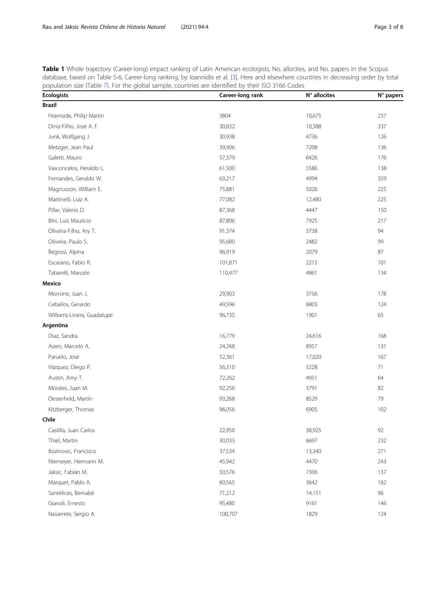<span id="page-2-0"></span>Table 1 Whole trajectory (Career-long) impact ranking of Latin American ecologists, No. allocites, and No. papers in the Scopus database, based on Table S-6, Career-long ranking, by Ioannidis et al. [\[3\]](#page-7-0). Here and elsewhere countries in decreasing order by total population size (Table [7\)](#page-7-0). For the global sample, countries are identified by their ISO 3166 Codes

| <b>Ecologists</b>          | Career-long rank | N° allocites | N° papers |
|----------------------------|------------------|--------------|-----------|
| <b>Brazil</b>              |                  |              |           |
| Fearnside, Philip Martin   | 3804             | 10,675       | 237       |
| Diniz-Filho, José A. F.    | 30,832           | 10,388       | 337       |
| Junk, Wolfgang J.          | 30,938           | 4736         | 126       |
| Metzger, Jean Paul         | 39,906           | 7208         | 136       |
| Galetti, Mauro             | 57,379           | 6426         | 176       |
| Vasconcelos, Heraldo L.    | 61,500           | 5586         | 138       |
| Fernandes, Geraldo W.      | 63,217           | 4994         | 359       |
| Magnusson, William E.      | 75,881           | 5026         | 225       |
| Martinelli, Luiz A.        | 77,082           | 12,480       | 225       |
| Pillar, Valerio D.         | 87,368           | 4447         | 150       |
| Bini, Luis Mauricio        | 87,806           | 7925         | 217       |
| Oliveira-Filho, Ary T.     | 91,374           | 3738         | 94        |
| Oliveira, Paulo S.         | 95,680           | 2482         | 99        |
| Begossi, Alpina            | 96,919           | 2079         | 87        |
| Escarano, Fabio R.         | 101,871          | 2215         | 101       |
| Tabarelli, Marcelo         | 110,477          | 4861         | 134       |
| Mexico                     |                  |              |           |
| Morrone, Juan J.           | 29,903           | 3756         | 178       |
| Ceballos, Gerardo          | 49,596           | 6803         | 124       |
| Williams-Linera, Guadalupe | 96,735           | 1901         | 65        |
| Argentina                  |                  |              |           |
| Diaz, Sandra               | 16,779           | 24,616       | 168       |
| Aizen, Marcelo A.          | 24,268           | 8957         | 131       |
| Paruelo, José              | 52,361           | 17,020       | 167       |
| Vázquez, Diego P.          | 56,310           | 5228         | 71        |
| Austin, Amy T.             | 72,262           | 4951         | 64        |
| Morales, Juan M.           | 92,256           | 3791         | 82        |
| Oesterheld, Martín         | 93,268           | 8529         | 79        |
| Kitzberger, Thomas         | 96,056           | 6905         | 102       |
| Chile                      |                  |              |           |
| Castilla, Juan Carlos      | 22,950           | 38,925       | 92        |
| Thiel, Martin              | 30,033           | 6697         | 232       |
| Bozinovic, Francisco       | 37,534           | 13,340       | 271       |
| Niemeyer, Hermann M.       | 45,942           | 4470         | 243       |
| Jaksic, Fabián M.          | 50,576           | 7306         | 137       |
| Marquet, Pablo A.          | 60,565           | 3642         | 162       |
| Santelices, Bernabé        | 71,212           | 14,151       | 96        |
| Gianoli, Ernesto           | 95,480           | 9161         | 146       |
| Navarrete, Sergio A.       | 100,707          | 1829         | 124       |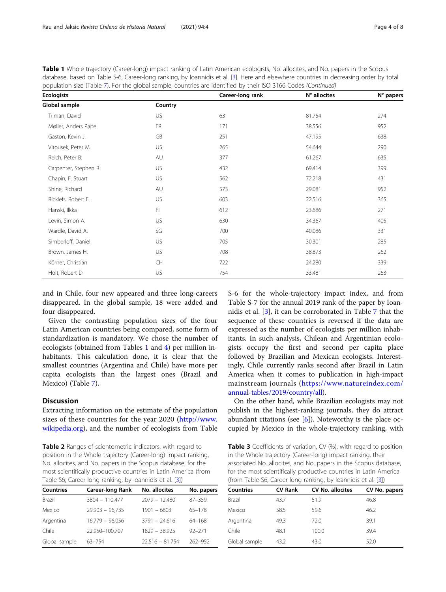<span id="page-3-0"></span>Table 1 Whole trajectory (Career-long) impact ranking of Latin American ecologists, No. allocites, and No. papers in the Scopus database, based on Table S-6, Career-long ranking, by Ioannidis et al. [\[3\]](#page-7-0). Here and elsewhere countries in decreasing order by total population size (Table [7\)](#page-7-0). For the global sample, countries are identified by their ISO 3166 Codes (Continued)

| <b>Ecologists</b>     |           | Career-long rank | N° allocites | N° papers |
|-----------------------|-----------|------------------|--------------|-----------|
| Global sample         | Country   |                  |              |           |
| Tilman, David         | US        | 63               | 81,754       | 274       |
| Møller, Anders Pape   | <b>FR</b> | 171              | 38,556       | 952       |
| Gaston, Kevin J.      | GB        | 251              | 47,195       | 638       |
| Vitousek, Peter M.    | US        | 265              | 54,644       | 290       |
| Reich, Peter B.       | AU        | 377              | 61,267       | 635       |
| Carpenter, Stephen R. | US        | 432              | 69,414       | 399       |
| Chapin, F. Stuart     | US        | 562              | 72,218       | 431       |
| Shine, Richard        | AU        | 573              | 29,081       | 952       |
| Ricklefs, Robert E.   | US        | 603              | 22,516       | 365       |
| Hanski, Ilkka         | FI        | 612              | 23,686       | 271       |
| Levin, Simon A.       | US        | 630              | 34,367       | 405       |
| Wardle, David A.      | SG        | 700              | 40,086       | 331       |
| Simberloff, Daniel    | US        | 705              | 30,301       | 285       |
| Brown, James H.       | <b>US</b> | 708              | 38,873       | 262       |
| Körner, Christian     | <b>CH</b> | 722              | 24,280       | 339       |
| Holt, Robert D.       | US        | 754              | 33,481       | 263       |

and in Chile, four new appeared and three long-careers disappeared. In the global sample, 18 were added and four disappeared.

Given the contrasting population sizes of the four Latin American countries being compared, some form of standardization is mandatory. We chose the number of ecologists (obtained from Tables [1](#page-2-0) and [4\)](#page-4-0) per million inhabitants. This calculation done, it is clear that the smallest countries (Argentina and Chile) have more per capita ecologists than the largest ones (Brazil and Mexico) (Table [7](#page-7-0)).

# **Discussion**

Extracting information on the estimate of the population sizes of these countries for the year 2020 ([http://www.](http://www.wikipedia.org) [wikipedia.org](http://www.wikipedia.org)), and the number of ecologists from Table

Table 2 Ranges of scientometric indicators, with regard to position in the Whole trajectory (Career-long) impact ranking, No. allocites, and No. papers in the Scopus database, for the most scientifically productive countries in Latin America (from Table-S6, Career-long ranking, by Ioannidis et al. [\[3](#page-7-0)])

| <b>Countries</b> | <b>Career-long Rank</b> | No. allocites     | No. papers |
|------------------|-------------------------|-------------------|------------|
| Brazil           | 3804 - 110,477          | $2079 - 12.480$   | 87-359     |
| Mexico           | $29.903 - 96.735$       | $1901 - 6803$     | $65 - 178$ |
| Argentina        | $16.779 - 96.056$       | $3791 - 24.616$   | 64-168     |
| Chile            | 22,950-100,707          | $1829 - 38,925$   | $92 - 271$ |
| Global sample    | 63-754                  | $22,516 - 81,754$ | 262-952    |

S-6 for the whole-trajectory impact index, and from Table S-7 for the annual 2019 rank of the paper by Ioannidis et al. [\[3](#page-7-0)], it can be corroborated in Table [7](#page-7-0) that the sequence of these countries is reversed if the data are expressed as the number of ecologists per million inhabitants. In such analysis, Chilean and Argentinian ecologists occupy the first and second per capita place followed by Brazilian and Mexican ecologists. Interestingly, Chile currently ranks second after Brazil in Latin America when it comes to publication in high-impact mainstream journals ([https://www.natureindex.com/](https://www.natureindex.com/annual-tables/2019/country/all) [annual-tables/2019/country/all\)](https://www.natureindex.com/annual-tables/2019/country/all).

On the other hand, while Brazilian ecologists may not publish in the highest-ranking journals, they do attract abundant citations (see  $[6]$  $[6]$ ). Noteworthy is the place occupied by Mexico in the whole-trajectory ranking, with

Table 3 Coefficients of variation, CV (%), with regard to position in the Whole trajectory (Career-long) impact ranking, their associated No. allocites, and No. papers in the Scopus database, for the most scientifically productive countries in Latin America (from Table-S6, Career-long ranking, by Ioannidis et al. [\[3\]](#page-7-0))

| Countries     | <b>CV Rank</b> | <b>CV No. allocites</b> | CV No. papers |
|---------------|----------------|-------------------------|---------------|
| Brazil        | 43.7           | 51.9                    | 46.8          |
| Mexico        | 58.5           | 59.6                    | 46.2          |
| Argentina     | 49.3           | 72.0                    | 39.1          |
| Chile         | 48.1           | 100.0                   | 39.4          |
| Global sample | 43.2           | 43.0                    | 52.0          |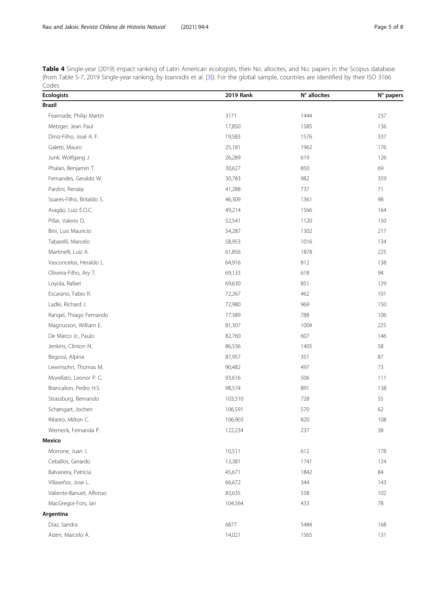<span id="page-4-0"></span>Table 4 Single-year (2019) impact ranking of Latin American ecologists, their No. allocites, and No. papers in the Scopus database (from Table S-7, 2019 Single-year ranking, by Ioannidis et al. [\[3\]](#page-7-0)). For the global sample, countries are identified by their ISO 3166 Codes

| <b>Ecologists</b>         | <b>2019 Rank</b> | N° allocites | N° papers |
|---------------------------|------------------|--------------|-----------|
| <b>Brazil</b>             |                  |              |           |
| Fearnside, Philip Martin  | 3171             | 1444         | 237       |
| Metzger, Jean Paul        | 17,850           | 1585         | 136       |
| Diniz-Filho, José A. F.   | 19,583           | 1576         | 337       |
| Galetti, Mauro            | 25,181           | 1962         | 176       |
| Junk, Wolfgang J.         | 26,289           | 619          | 126       |
| Phalan, Benjamin T.       | 30,627           | 850          | 69        |
| Fernandes, Geraldo W.     | 30,783           | 982          | 359       |
| Pardini, Renata           | 41,288           | 737          | 71        |
| Soares-Filho, Britaldo S. | 46,309           | 1361         | 98        |
| Aragão, Luiz E.O.C.       | 49,214           | 1566         | 164       |
| Pillar, Valerio D.        | 52,541           | 1120         | 150       |
| Bini, Luis Mauricio       | 54,287           | 1302         | 217       |
| Tabarelli, Marcelo        | 58,953           | 1016         | 134       |
| Martinelli, Luiz A.       | 61,856           | 1878         | 225       |
| Vasconcelos, Heraldo L.   | 64,916           | 812          | 138       |
| Oliveira-Filho, Ary T.    | 69,133           | 618          | 94        |
| Loyola, Rafael            | 69,630           | 851          | 129       |
| Escarano, Fabio R.        | 72,267           | 462          | 101       |
| Ladle, Richard J.         | 72,980           | 969          | 150       |
| Rangel, Thiago Fernando   | 77,389           | 788          | 106       |
| Magnusson, William E.     | 81,307           | 1004         | 225       |
| De Marco Jr., Paulo       | 82,760           | 607          | 146       |
| Jenkins, Clinton N.       | 86,536           | 1405         | 58        |
| Begossi, Alpina           | 87,957           | 351          | 87        |
| Lewinsohn, Thomas M.      | 90,482           | 497          | 73        |
| Morellato, Leonor P. C.   | 93,616           | 506          | 111       |
| Brancalion, Pedro H.S.    | 98,574           | 891          | 138       |
| Strassburg, Bernando      | 103,510          | 728          | 55        |
| Schøngart, Jochen         | 106,591          | 570          | 62        |
| Ribeiro, Milton C.        | 106,903          | 820          | 108       |
| Werneck, Fernanda P.      | 122,234          | 237          | 38        |
| <b>Mexico</b>             |                  |              |           |
| Morrone, Juan J.          | 10,511           | 612          | 178       |
| Ceballos, Gerardo         | 13,381           | 1741         | 124       |
| Balvanera, Patricia       | 45,671           | 1842         | 84        |
| Villaseñor, Jose L.       | 66,672           | 344          | 143       |
| Valiente-Banuet, Alfonso  | 83,635           | 558          | 102       |
| MacGregor-Fors, lan       | 104,564          | 433          | 78        |
| Argentina                 |                  |              |           |
| Diaz, Sandra              | 6877             | 5484         | 168       |
| Aizen, Marcelo A.         | 14,021           | 1565         | 131       |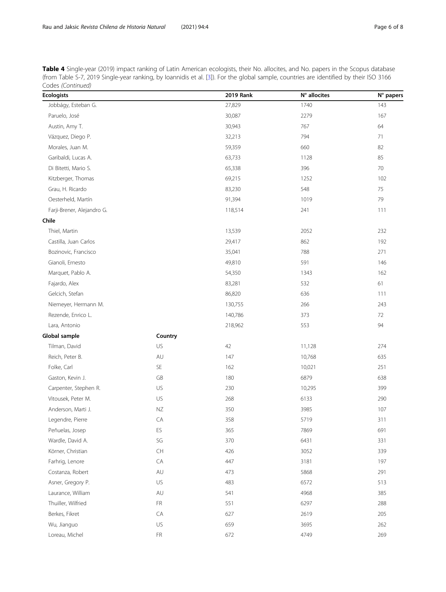Table 4 Single-year (2019) impact ranking of Latin American ecologists, their No. allocites, and No. papers in the Scopus database (from Table S-7, 2019 Single-year ranking, by Ioannidis et al. [\[3\]](#page-7-0)). For the global sample, countries are identified by their ISO 3166 Codes (Continued)

| <b>Ecologists</b>          |                                                      | <b>2019 Rank</b> | N° allocites | N° papers |
|----------------------------|------------------------------------------------------|------------------|--------------|-----------|
| Jobbágy, Esteban G.        |                                                      | 27,829           | 1740         | 143       |
| Paruelo, José              |                                                      | 30,087           | 2279         | 167       |
| Austin, Amy T.             |                                                      | 30,943           | 767          | 64        |
| Vázquez, Diego P.          |                                                      | 32,213           | 794          | 71        |
| Morales, Juan M.           |                                                      | 59,359           | 660          | 82        |
| Garibaldi, Lucas A.        |                                                      | 63,733           | 1128         | 85        |
| Di Bitetti, Mario S.       |                                                      | 65,338           | 396          | 70        |
| Kitzberger, Thomas         |                                                      | 69,215           | 1252         | 102       |
| Grau, H. Ricardo           |                                                      | 83,230           | 548          | 75        |
| Oesterheld, Martín         |                                                      | 91,394           | 1019         | 79        |
| Farji-Brener, Alejandro G. |                                                      | 118,514          | 241          | 111       |
| Chile                      |                                                      |                  |              |           |
| Thiel, Martin              |                                                      | 13,539           | 2052         | 232       |
| Castilla, Juan Carlos      |                                                      | 29,417           | 862          | 192       |
| Bozinovic, Francisco       |                                                      | 35,041           | 788          | 271       |
| Gianoli, Ernesto           |                                                      | 49,810           | 591          | 146       |
| Marquet, Pablo A.          |                                                      | 54,350           | 1343         | 162       |
| Fajardo, Alex              |                                                      | 83,281           | 532          | 61        |
| Gelcich, Stefan            |                                                      | 86,820           | 636          | 111       |
| Niemeyer, Hermann M.       |                                                      | 130,755          | 266          | 243       |
| Rezende, Enrico L.         |                                                      | 140,786          | 373          | 72        |
| Lara, Antonio              |                                                      | 218,962          | 553          | 94        |
| Global sample              | Country                                              |                  |              |           |
| Tilman, David              | US                                                   | 42               | 11,128       | 274       |
| Reich, Peter B.            | AU                                                   | 147              | 10,768       | 635       |
| Folke, Carl                | $\mathsf{SE}\xspace$                                 | 162              | 10,021       | 251       |
| Gaston, Kevin J.           | GB                                                   | 180              | 6879         | 638       |
| Carpenter, Stephen R.      | US                                                   | 230              | 10,295       | 399       |
| Vitousek, Peter M.         | US                                                   | 268              | 6133         | 290       |
| Anderson, Marti J.         | ΝZ                                                   | 350              | 3985         | 107       |
| Legendre, Pierre           | CA                                                   | 358              | 5719         | 311       |
| Peñuelas, Josep            | ES                                                   | 365              | 7869         | 691       |
| Wardle, David A.           | SG                                                   | 370              | 6431         | 331       |
| Körner, Christian          | $\mathsf{CH}% _{\mathbb{C}}\left( \mathbb{C}\right)$ | 426              | 3052         | 339       |
| Farhrig, Lenore            | CA                                                   | 447              | 3181         | 197       |
| Costanza, Robert           | AU                                                   | 473              | 5868         | 291       |
| Asner, Gregory P.          | US                                                   | 483              | 6572         | 513       |
| Laurance, William          | AU                                                   | 541              | 4968         | 385       |
| Thuiller, Wilfried         | FR                                                   | 551              | 6297         | 288       |
| Berkes, Fikret             | CA                                                   | 627              | 2619         | 205       |
| Wu, Jianguo                | US                                                   | 659              | 3695         | 262       |
| Loreau, Michel             | ${\sf FR}$                                           | 672              | 4749         | 269       |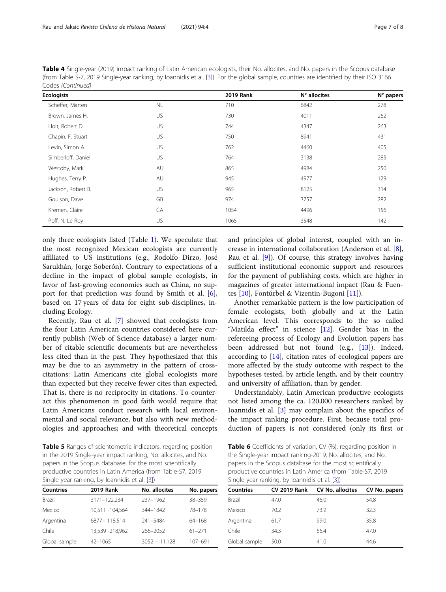<span id="page-6-0"></span>Table 4 Single-year (2019) impact ranking of Latin American ecologists, their No. allocites, and No. papers in the Scopus database (from Table S-7, 2019 Single-year ranking, by Ioannidis et al. [\[3\]](#page-7-0)). For the global sample, countries are identified by their ISO 3166 Codes (Continued)

| <b>Ecologists</b>  |           | <b>2019 Rank</b> | N° allocites | N° papers |
|--------------------|-----------|------------------|--------------|-----------|
| Scheffer, Marten   | <b>NL</b> | 710              | 6842         | 278       |
| Brown, James H.    | US        | 730              | 4011         | 262       |
| Holt, Robert D.    | US        | 744              | 4347         | 263       |
| Chapin, F. Stuart  | US        | 750              | 8941         | 431       |
| Levin, Simon A.    | US        | 762              | 4460         | 405       |
| Simberloff, Daniel | US        | 764              | 3138         | 285       |
| Westoby, Mark      | AU        | 865              | 4984         | 250       |
| Hughes, Terry P.   | AU        | 945              | 4977         | 129       |
| Jackson, Robert B. | US        | 965              | 8125         | 314       |
| Goulson, Dave      | GB        | 974              | 3757         | 282       |
| Kremen, Claire     | CA        | 1054             | 4496         | 156       |
| Poff, N. Le Roy    | US        | 1065             | 3548         | 142       |

only three ecologists listed (Table [1](#page-2-0)). We speculate that the most recognized Mexican ecologists are currently affiliated to US institutions (e.g., Rodolfo Dirzo, José Sarukhán, Jorge Soberón). Contrary to expectations of a decline in the impact of global sample ecologists, in favor of fast-growing economies such as China, no support for that prediction was found by Smith et al. [\[6](#page-7-0)], based on 17 years of data for eight sub-disciplines, including Ecology.

Recently, Rau et al. [[7\]](#page-7-0) showed that ecologists from the four Latin American countries considered here currently publish (Web of Science database) a larger number of citable scientific documents but are nevertheless less cited than in the past. They hypothesized that this may be due to an asymmetry in the pattern of crosscitations: Latin Americans cite global ecologists more than expected but they receive fewer cites than expected. That is, there is no reciprocity in citations. To counteract this phenomenon in good faith would require that Latin Americans conduct research with local environmental and social relevance, but also with new methodologies and approaches; and with theoretical concepts

Table 5 Ranges of scientometric indicators, regarding position in the 2019 Single-year impact ranking, No. allocites, and No. papers in the Scopus database, for the most scientifically productive countries in Latin America (from Table-S7, 2019 Single-year ranking, by Ioannidis et al. [\[3](#page-7-0)])

| <b>Countries</b> | <b>2019 Rank</b> | No. allocites   | No. papers |
|------------------|------------------|-----------------|------------|
| <b>Brazil</b>    | 3171-122.234     | 237-1962        | 38-359     |
| Mexico           | 10.511 -104.564  | 344-1842        | 78-178     |
| Argentina        | 6877-118,514     | 241-5484        | 64-168     |
| Chile            | 13,539 -218,962  | 266-2052        | $61 - 271$ |
| Global sample    | $42 - 1065$      | $3052 - 11,128$ | 107-691    |

and principles of global interest, coupled with an increase in international collaboration (Anderson et al. [\[8](#page-7-0)], Rau et al. [\[9](#page-7-0)]). Of course, this strategy involves having sufficient institutional economic support and resources for the payment of publishing costs, which are higher in magazines of greater international impact (Rau & Fuentes [\[10\]](#page-7-0), Fontúrbel & Vizentin-Bugoni [\[11](#page-7-0)]).

Another remarkable pattern is the low participation of female ecologists, both globally and at the Latin American level. This corresponds to the so called "Matilda effect" in science  $[12]$ . Gender bias in the refereeing process of Ecology and Evolution papers has been addressed but not found (e.g., [[13](#page-7-0)]). Indeed, according to [[14](#page-7-0)], citation rates of ecological papers are more affected by the study outcome with respect to the hypotheses tested, by article length, and by their country and university of affiliation, than by gender.

Understandably, Latin American productive ecologists not listed among the ca. 120,000 researchers ranked by Ioannidis et al. [\[3](#page-7-0)] may complain about the specifics of the impact ranking procedure. First, because total production of papers is not considered (only its first or

Table 6 Coefficients of variation, CV (%), regarding position in the Single-year impact ranking-2019, No. allocites, and No. papers in the Scopus database for the most scientifically productive countries in Latin America (from Table-S7, 2019 Single-year ranking, by Ioannidis et al. [\[3](#page-7-0)])

| <b>Countries</b> | <b>CV 2019 Rank</b> | <b>CV No. allocites</b> | CV No. papers |
|------------------|---------------------|-------------------------|---------------|
| Brazil           | 47.0                | 46.0                    | 54.8          |
| Mexico           | 70.2                | 73.9                    | 32.3          |
| Argentina        | 61.7                | 99.0                    | 35.8          |
| Chile            | 34.3                | 66.4                    | 47.0          |
| Global sample    | 50.0                | 41.0                    | 44.6          |